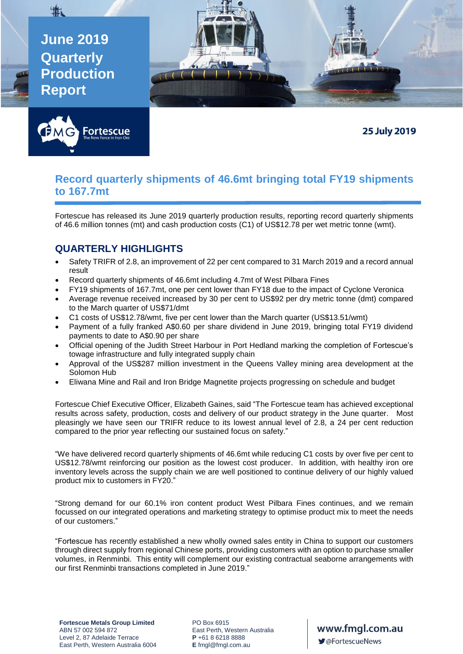**June 2019 Quarterly Production Report** 

地



**25 July 2019** 

## **Record quarterly shipments of 46.6mt bringing total FY19 shipments to 167.7mt**

Fortescue has released its June 2019 quarterly production results, reporting record quarterly shipments of 46.6 million tonnes (mt) and cash production costs (C1) of US\$12.78 per wet metric tonne (wmt).

# **QUARTERLY HIGHLIGHTS**

- Safety TRIFR of 2.8, an improvement of 22 per cent compared to 31 March 2019 and a record annual result
- Record quarterly shipments of 46.6mt including 4.7mt of West Pilbara Fines
- FY19 shipments of 167.7mt, one per cent lower than FY18 due to the impact of Cyclone Veronica
- Average revenue received increased by 30 per cent to US\$92 per dry metric tonne (dmt) compared to the March quarter of US\$71/dmt
- C1 costs of US\$12.78/wmt, five per cent lower than the March quarter (US\$13.51/wmt)
- Payment of a fully franked A\$0.60 per share dividend in June 2019, bringing total FY19 dividend payments to date to A\$0.90 per share
- Official opening of the Judith Street Harbour in Port Hedland marking the completion of Fortescue's towage infrastructure and fully integrated supply chain
- Approval of the US\$287 million investment in the Queens Valley mining area development at the Solomon Hub
- Eliwana Mine and Rail and Iron Bridge Magnetite projects progressing on schedule and budget

Fortescue Chief Executive Officer, Elizabeth Gaines, said "The Fortescue team has achieved exceptional results across safety, production, costs and delivery of our product strategy in the June quarter. Most pleasingly we have seen our TRIFR reduce to its lowest annual level of 2.8, a 24 per cent reduction compared to the prior year reflecting our sustained focus on safety."

"We have delivered record quarterly shipments of 46.6mt while reducing C1 costs by over five per cent to US\$12.78/wmt reinforcing our position as the lowest cost producer. In addition, with healthy iron ore inventory levels across the supply chain we are well positioned to continue delivery of our highly valued product mix to customers in FY20."

"Strong demand for our 60.1% iron content product West Pilbara Fines continues, and we remain focussed on our integrated operations and marketing strategy to optimise product mix to meet the needs of our customers."

"Fortescue has recently established a new wholly owned sales entity in China to support our customers through direct supply from regional Chinese ports, providing customers with an option to purchase smaller volumes, in Renminbi. This entity will complement our existing contractual seaborne arrangements with our first Renminbi transactions completed in June 2019."

www.fmgl.com.au ■ @FortescueNews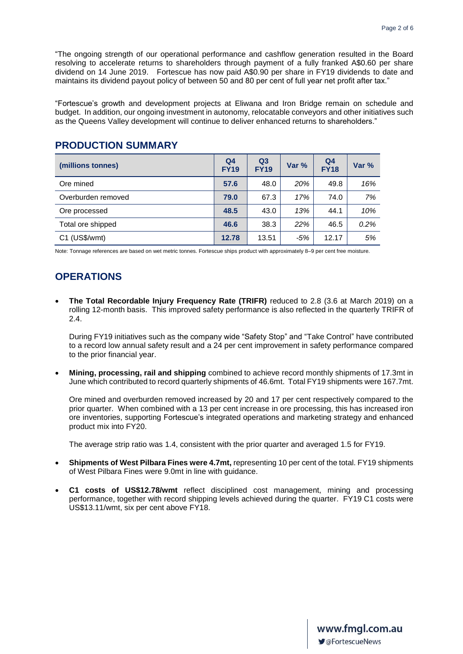"The ongoing strength of our operational performance and cashflow generation resulted in the Board resolving to accelerate returns to shareholders through payment of a fully franked A\$0.60 per share dividend on 14 June 2019. Fortescue has now paid A\$0.90 per share in FY19 dividends to date and maintains its dividend payout policy of between 50 and 80 per cent of full year net profit after tax."

"Fortescue's growth and development projects at Eliwana and Iron Bridge remain on schedule and budget. In addition, our ongoing investment in autonomy, relocatable conveyors and other initiatives such as the Queens Valley development will continue to deliver enhanced returns to shareholders."

#### **PRODUCTION SUMMARY**

| (millions tonnes)  | Q <sub>4</sub><br><b>FY19</b> | Q <sub>3</sub><br><b>FY19</b> | Var $%$ | Q <sub>4</sub><br><b>FY18</b> | Var % |
|--------------------|-------------------------------|-------------------------------|---------|-------------------------------|-------|
| Ore mined          | 57.6                          | 48.0                          | 20%     | 49.8                          | 16%   |
| Overburden removed | 79.0                          | 67.3                          | 17%     | 74.0                          | 7%    |
| Ore processed      | 48.5                          | 43.0                          | 13%     | 44.1                          | 10%   |
| Total ore shipped  | 46.6                          | 38.3                          | 22%     | 46.5                          | 0.2%  |
| C1 (US\$/wmt)      | 12.78                         | 13.51                         | $-5%$   | 12.17                         | 5%    |

Note: Tonnage references are based on wet metric tonnes. Fortescue ships product with approximately 8–9 per cent free moisture.

### **OPERATIONS**

• **The Total Recordable Injury Frequency Rate (TRIFR)** reduced to 2.8 (3.6 at March 2019) on a rolling 12-month basis. This improved safety performance is also reflected in the quarterly TRIFR of 2.4.

During FY19 initiatives such as the company wide "Safety Stop" and "Take Control" have contributed to a record low annual safety result and a 24 per cent improvement in safety performance compared to the prior financial year.

• **Mining, processing, rail and shipping** combined to achieve record monthly shipments of 17.3mt in June which contributed to record quarterly shipments of 46.6mt. Total FY19 shipments were 167.7mt.

Ore mined and overburden removed increased by 20 and 17 per cent respectively compared to the prior quarter. When combined with a 13 per cent increase in ore processing, this has increased iron ore inventories, supporting Fortescue's integrated operations and marketing strategy and enhanced product mix into FY20.

The average strip ratio was 1.4, consistent with the prior quarter and averaged 1.5 for FY19.

- **Shipments of West Pilbara Fines were 4.7mt,** representing 10 per cent of the total. FY19 shipments of West Pilbara Fines were 9.0mt in line with guidance.
- **C1 costs of US\$12.78/wmt** reflect disciplined cost management, mining and processing performance, together with record shipping levels achieved during the quarter. FY19 C1 costs were US\$13.11/wmt, six per cent above FY18.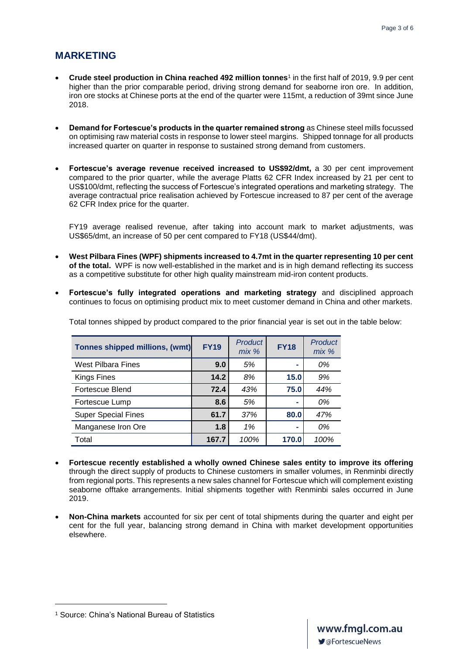#### **MARKETING**

- **Crude steel production in China reached 492 million tonnes**<sup>1</sup> in the first half of 2019, 9.9 per cent higher than the prior comparable period, driving strong demand for seaborne iron ore. In addition, iron ore stocks at Chinese ports at the end of the quarter were 115mt, a reduction of 39mt since June 2018.
- **Demand for Fortescue's products in the quarter remained strong** as Chinese steel mills focussed on optimising raw material costs in response to lower steel margins. Shipped tonnage for all products increased quarter on quarter in response to sustained strong demand from customers.
- **Fortescue's average revenue received increased to US\$92/dmt,** a 30 per cent improvement compared to the prior quarter, while the average Platts 62 CFR Index increased by 21 per cent to US\$100/dmt, reflecting the success of Fortescue's integrated operations and marketing strategy. The average contractual price realisation achieved by Fortescue increased to 87 per cent of the average 62 CFR Index price for the quarter.

FY19 average realised revenue, after taking into account mark to market adjustments, was US\$65/dmt, an increase of 50 per cent compared to FY18 (US\$44/dmt).

- **West Pilbara Fines (WPF) shipments increased to 4.7mt in the quarter representing 10 per cent of the total.** WPF is now well-established in the market and is in high demand reflecting its success as a competitive substitute for other high quality mainstream mid-iron content products.
- **Fortescue's fully integrated operations and marketing strategy** and disciplined approach continues to focus on optimising product mix to meet customer demand in China and other markets.

| <b>Tonnes shipped millions, (wmt)</b> | <b>FY19</b> | <b>Product</b><br>$mix$ % | <b>FY18</b>    | Product<br>$mix$ % |
|---------------------------------------|-------------|---------------------------|----------------|--------------------|
| <b>West Pilbara Fines</b>             | 9.0         | 5%                        |                | 0%                 |
| Kings Fines                           | 14.2        | 8%                        | 15.0           | 9%                 |
| Fortescue Blend                       | 72.4        | 43%                       | 75.0           | 44%                |
| Fortescue Lump                        | 8.6         | 5%                        | $\blacksquare$ | 0%                 |
| <b>Super Special Fines</b>            | 61.7        | 37%                       | 80.0           | 47%                |
| Manganese Iron Ore                    | 1.8         | 1%                        | -              | 0%                 |
| Total                                 | 167.7       | 100%                      | 170.0          | 100%               |

Total tonnes shipped by product compared to the prior financial year is set out in the table below:

- **Fortescue recently established a wholly owned Chinese sales entity to improve its offering**  through the direct supply of products to Chinese customers in smaller volumes, in Renminbi directly from regional ports. This represents a new sales channel for Fortescue which will complement existing seaborne offtake arrangements. Initial shipments together with Renminbi sales occurred in June 2019.
- **Non-China markets** accounted for six per cent of total shipments during the quarter and eight per cent for the full year, balancing strong demand in China with market development opportunities elsewhere.

<sup>1</sup> Source: China's National Bureau of Statistics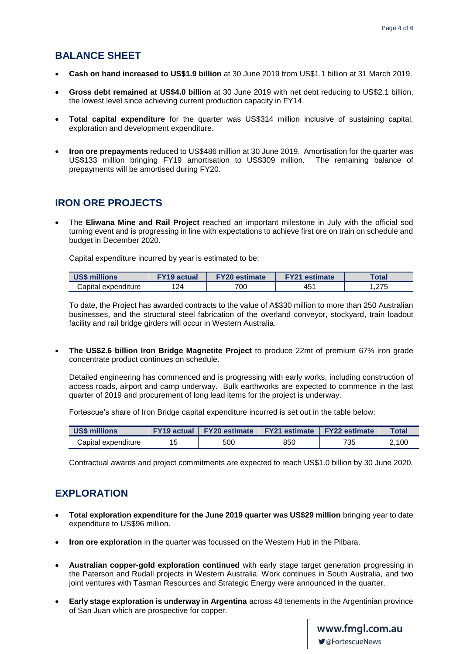#### **BALANCE SHEET**

- **Cash on hand increased to US\$1.9 billion** at 30 June 2019 from US\$1.1 billion at 31 March 2019.
- **Gross debt remained at US\$4.0 billion** at 30 June 2019 with net debt reducing to US\$2.1 billion, the lowest level since achieving current production capacity in FY14.
- **Total capital expenditure** for the quarter was US\$314 million inclusive of sustaining capital, exploration and development expenditure.
- **Iron ore prepayments** reduced to US\$486 million at 30 June 2019. Amortisation for the quarter was US\$133 million bringing FY19 amortisation to US\$309 million. The remaining balance of prepayments will be amortised during FY20.

#### **IRON ORE PROJECTS**

• The **Eliwana Mine and Rail Project** reached an important milestone in July with the official sod turning event and is progressing in line with expectations to achieve first ore on train on schedule and budget in December 2020.

Capital expenditure incurred by year is estimated to be:

| <b>US\$ millions</b> |     | <b>FY20 estimate</b> | <b>FY21 estimate</b> | $\mathsf{Total}$ |
|----------------------|-----|----------------------|----------------------|------------------|
| Capital expenditure  | 124 | 700                  | 451                  | つフド<br>ں اے.     |

To date, the Project has awarded contracts to the value of A\$330 million to more than 250 Australian businesses, and the structural steel fabrication of the overland conveyor, stockyard, train loadout facility and rail bridge girders will occur in Western Australia.

• **The US\$2.6 billion Iron Bridge Magnetite Project** to produce 22mt of premium 67% iron grade concentrate product continues on schedule.

Detailed engineering has commenced and is progressing with early works, including construction of access roads, airport and camp underway. Bulk earthworks are expected to commence in the last quarter of 2019 and procurement of long lead items for the project is underway.

Fortescue's share of Iron Bridge capital expenditure incurred is set out in the table below:

| <b>US\$ millions</b> | <b>FY19 actual</b> | <b>FY20 estimate</b> | <b>FY21 estimate   FY22 estimate</b> |     | <b>Total</b> |
|----------------------|--------------------|----------------------|--------------------------------------|-----|--------------|
| Capital expenditure  | 15                 | 500                  | 850                                  | 735 | 2.100        |

Contractual awards and project commitments are expected to reach US\$1.0 billion by 30 June 2020.

### **EXPLORATION**

- **Total exploration expenditure for the June 2019 quarter was US\$29 million** bringing year to date expenditure to US\$96 million.
- **Iron ore exploration** in the quarter was focussed on the Western Hub in the Pilbara.
- **Australian copper-gold exploration continued** with early stage target generation progressing in the Paterson and Rudall projects in Western Australia. Work continues in South Australia, and two joint ventures with Tasman Resources and Strategic Energy were announced in the quarter.
- **Early stage exploration is underway in Argentina** across 48 tenements in the Argentinian province of San Juan which are prospective for copper.

**www.fmgl.com.au<br>▼**@FortescueNews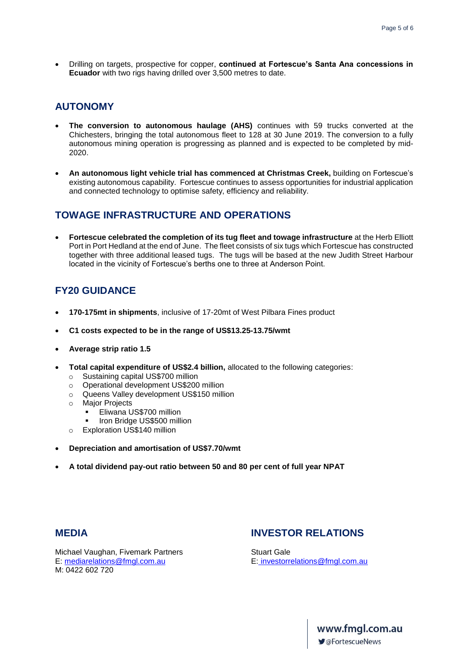• Drilling on targets, prospective for copper, **continued at Fortescue's Santa Ana concessions in Ecuador** with two rigs having drilled over 3,500 metres to date.

#### **AUTONOMY**

- **The conversion to autonomous haulage (AHS)** continues with 59 trucks converted at the Chichesters, bringing the total autonomous fleet to 128 at 30 June 2019. The conversion to a fully autonomous mining operation is progressing as planned and is expected to be completed by mid-2020.
- **An autonomous light vehicle trial has commenced at Christmas Creek,** building on Fortescue's existing autonomous capability. Fortescue continues to assess opportunities for industrial application and connected technology to optimise safety, efficiency and reliability.

#### **TOWAGE INFRASTRUCTURE AND OPERATIONS**

• **Fortescue celebrated the completion of its tug fleet and towage infrastructure** at the Herb Elliott Port in Port Hedland at the end of June. The fleet consists of six tugs which Fortescue has constructed together with three additional leased tugs. The tugs will be based at the new Judith Street Harbour located in the vicinity of Fortescue's berths one to three at Anderson Point.

## **FY20 GUIDANCE**

- **170-175mt in shipments**, inclusive of 17-20mt of West Pilbara Fines product
- **C1 costs expected to be in the range of US\$13.25-13.75/wmt**
- **Average strip ratio 1.5**
- **Total capital expenditure of US\$2.4 billion,** allocated to the following categories:
	- o Sustaining capital US\$700 million
	- o Operational development US\$200 million
	- o Queens Valley development US\$150 million
	- o Major Projects
		- Eliwana US\$700 million
		- Iron Bridge US\$500 million
	- o Exploration US\$140 million
- **Depreciation and amortisation of US\$7.70/wmt**
- **A total dividend pay-out ratio between 50 and 80 per cent of full year NPAT**

#### **MEDIA INVESTOR RELATIONS**

Michael Vaughan, Fivemark Partners **Stuart Gale** E: [mediarelations@fmgl.com.au](mailto:mediarelations@fmgl.com.au) E: [investorrelations@fmgl.com.au](mailto:%20investorrelations@fmgl.com.au) M: 0422 602 720